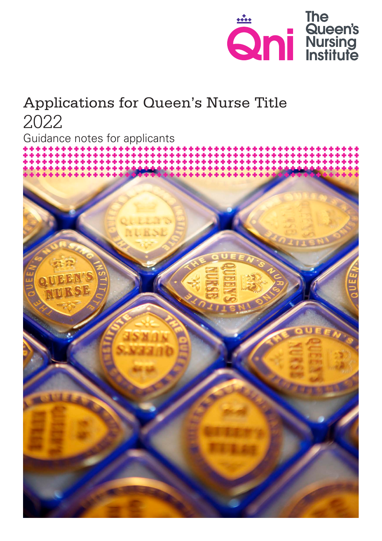

## Applications for Queen's Nurse Title 2022

Guidance notes for applicants

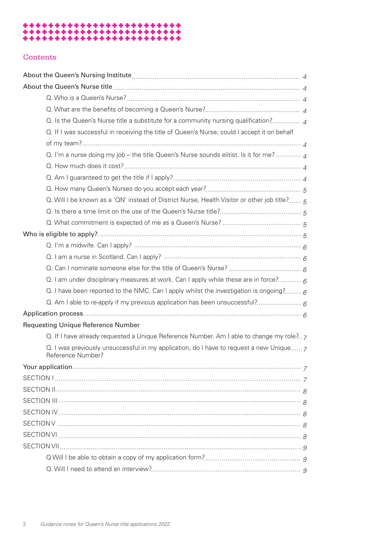# 

#### **Contents**

| Q. Is the Queen's Nurse title a substitute for a community nursing qualification? $\alpha$                   |  |
|--------------------------------------------------------------------------------------------------------------|--|
| Q. If I was successful in receiving the title of Queen's Nurse, could I accept it on behalf                  |  |
|                                                                                                              |  |
| Q. I'm a nurse doing my job – the title Queen's Nurse sounds elitist. Is it for me?                          |  |
|                                                                                                              |  |
|                                                                                                              |  |
|                                                                                                              |  |
| Q. Will I be known as a 'QN' instead of District Nurse, Health Visitor or other job title? 5                 |  |
|                                                                                                              |  |
|                                                                                                              |  |
|                                                                                                              |  |
|                                                                                                              |  |
|                                                                                                              |  |
|                                                                                                              |  |
| Q. I am under disciplinary measures at work. Can I apply while these are in force?                           |  |
| Q. I have been reported to the NMC. Can I apply whilst the investigation is ongoing? $6$                     |  |
|                                                                                                              |  |
|                                                                                                              |  |
| Requesting Unique Reference Number                                                                           |  |
| Q. If I have already requested a Unique Reference Number. Am I able to change my role? 7                     |  |
| Q. I was previously unsuccessful in my application, do I have to request a new Unique 7<br>Reference Number? |  |
|                                                                                                              |  |
|                                                                                                              |  |
|                                                                                                              |  |
|                                                                                                              |  |
|                                                                                                              |  |
|                                                                                                              |  |
|                                                                                                              |  |
|                                                                                                              |  |
|                                                                                                              |  |
|                                                                                                              |  |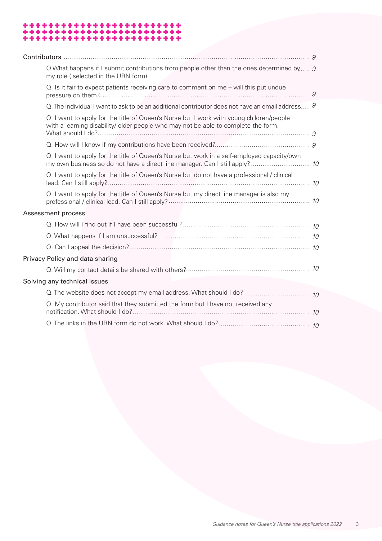#### ٠ ۰ ۰ \*\*\*\*\*\*\*\*\*\*\*\*\*\*\*\*\*\*\*\* ٠ ٠ ٠ ٠ \*\*\* ٠ \*\*\* a. \*\*\*\*\*\*\* a. ٠ a. ٠

| Q What happens if I submit contributions from people other than the ones determined by 9         |
|--------------------------------------------------------------------------------------------------|
|                                                                                                  |
| Q. The individual I want to ask to be an additional contributor does not have an email address 9 |
|                                                                                                  |
|                                                                                                  |
|                                                                                                  |
|                                                                                                  |
|                                                                                                  |
|                                                                                                  |
|                                                                                                  |
|                                                                                                  |
|                                                                                                  |
|                                                                                                  |
|                                                                                                  |
|                                                                                                  |
|                                                                                                  |
|                                                                                                  |
|                                                                                                  |
|                                                                                                  |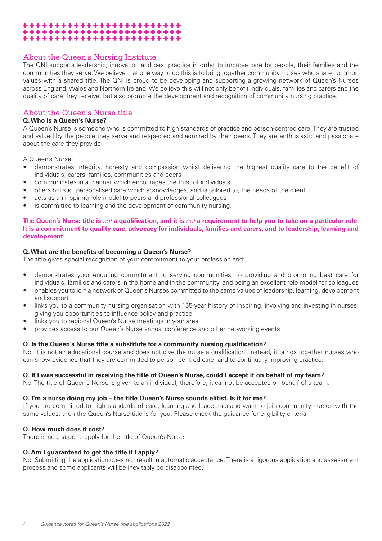#### \*\*\*\*\*\*\*\*\*\*\*\*\*\*\*\*\* ........................ \*\*\*\*\*\*\*\*\*\*\*\*\*\*\*\*\*\*\*\*\*

#### About the Queen's Nursing Institute

The QNI supports leadership, innovation and best practice in order to improve care for people, their families and the communities they serve. We believe that one way to do this is to bring together community nurses who share common values with a shared title. The QNI is proud to be developing and supporting a growing network of Queen's Nurses across England, Wales and Northern Ireland. We believe this will not only benefit individuals, families and carers and the quality of care they receive, but also promote the development and recognition of community nursing practice.

#### About the Queen's Nurse title

#### **Q. Who is a Queen's Nurse?**

A Queen's Nurse is someone who is committed to high standards of practice and person-centred care. They are trusted and valued by the people they serve and respected and admired by their peers. They are enthusiastic and passionate about the care they provide.

A Queen's Nurse:

- demonstrates integrity, honesty and compassion whilst delivering the highest quality care to the benefit of individuals, carers, families, communities and peers
- communicates in a manner which encourages the trust of individuals
- offers holistic, personalised care which acknowledges, and is tailored to, the needs of the client
- acts as an inspiring role model to peers and professional colleagues
- is committed to learning and the development of community nursing.

**The Queen's Nurse title is** not **a qualification, and it is** not **a requirement to help you to take on a particular role. It is a commitment to quality care, advocacy for individuals, families and carers, and to leadership, learning and development.**

#### **Q. What are the benefits of becoming a Queen's Nurse?**

The title gives special recognition of your commitment to your profession and:

- demonstrates your enduring commitment to serving communities, to providing and promoting best care for individuals, families and carers in the home and in the community, and being an excellent role model for colleagues
- enables you to join a network of Queen's Nurses committed to the same values of leadership, learning, development and support
- links you to a community nursing organisation with 135-year history of inspiring, involving and investing in nurses, giving you opportunities to influence policy and practice
- links you to regional Queen's Nurse meetings in your area
- provides access to our Queen's Nurse annual conference and other networking events

#### **Q. Is the Queen's Nurse title a substitute for a community nursing qualification?**

No. It is not an educational course and does not give the nurse a qualification. Instead, it brings together nurses who can show evidence that they are committed to person-centred care, and to continually improving practice.

#### **Q. If I was successful in receiving the title of Queen's Nurse, could I accept it on behalf of my team?**

No. The title of Queen's Nurse is given to an individual, therefore, it cannot be accepted on behalf of a team.

#### **Q. I'm a nurse doing my job – the title Queen's Nurse sounds elitist. Is it for me?**

If you are committed to high standards of care, learning and leadership and want to join community nurses with the same values, then the Queen's Nurse title is for you. Please check the guidance for eligibility criteria.

#### **Q. How much does it cost?**

There is no charge to apply for the title of Queen's Nurse.

#### **Q. Am I guaranteed to get the title if I apply?**

No. Submitting the application does not result in automatic acceptance. There is a rigorous application and assessment process and some applicants will be inevitably be disappointed.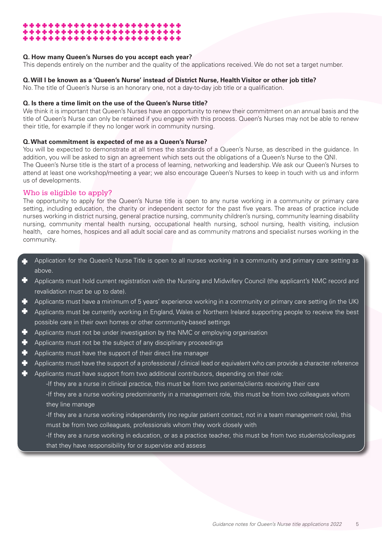#### \*\*\*\*\*\*\*\*\*\*\*\*\*\*\*\* \*\*\*\*\*\*\*\*\*\*\*\*\*\*\*\*\*\*\*\*\*\*\* \*\*\*\*\*\*\*\*\*\*\*\*\*\*\*\*\*\*\*\*\*

#### **Q. How many Queen's Nurses do you accept each year?**

This depends entirely on the number and the quality of the applications received. We do not set a target number.

#### **Q. Will I be known as a 'Queen's Nurse' instead of District Nurse, Health Visitor or other job title?**

No. The title of Queen's Nurse is an honorary one, not a day-to-day job title or a qualification.

#### **Q. Is there a time limit on the use of the Queen's Nurse title?**

We think it is important that Queen's Nurses have an opportunity to renew their commitment on an annual basis and the title of Queen's Nurse can only be retained if you engage with this process. Queen's Nurses may not be able to renew their title, for example if they no longer work in community nursing.

#### **Q. What commitment is expected of me as a Queen's Nurse?**

You will be expected to demonstrate at all times the standards of a Queen's Nurse, as described in the guidance. In addition, you will be asked to sign an agreement which sets out the obligations of a Queen's Nurse to the QNI. The Queen's Nurse title is the start of a process of learning, networking and leadership. We ask our Queen's Nurses to attend at least one workshop/meeting a year; we also encourage Queen's Nurses to keep in touch with us and inform us of developments.

#### Who is eligible to apply?

The opportunity to apply for the Queen's Nurse title is open to any nurse working in a community or primary care setting, including education, the charity or independent sector for the past five years. The areas of practice include nurses working in district nursing, general practice nursing, community children's nursing, community learning disability nursing, community mental health nursing, occupational health nursing, school nursing, health visiting, inclusion health, care homes, hospices and all adult social care and as community matrons and specialist nurses working in the community.

- **•** Application for the Queen's Nurse Title is open to all nurses working in a community and primary care setting as above.
- **•** Applicants must hold current registration with the Nursing and Midwifery Council (the applicant's NMC record and revalidation must be up to date).
- Applicants must have a minimum of 5 years' experience working in a community or primary care setting (in the UK)
- **•** Applicants must be currently working in England, Wales or Northern Ireland supporting people to receive the best possible care in their own homes or other community-based settings
- Applicants must not be under investigation by the NMC or employing organisation
- $\blacktriangleright$  Applicants must not be the subject of any disciplinary proceedings
- **•** Applicants must have the support of their direct line manager
- Applicants must have the support of a professional / clinical lead or equivalent who can provide a character reference
- Applicants must have support from two additional contributors, depending on their role:
	- -If they are a nurse in clinical practice, this must be from two patients/clients receiving their care
	- -If they are a nurse working predominantly in a management role, this must be from two colleagues whom they line manage
	- -If they are a nurse working independently (no regular patient contact, not in a team management role), this must be from two colleagues, professionals whom they work closely with
	- -If they are a nurse working in education, or as a practice teacher, this must be from two students/colleagues that they have responsibility for or supervise and assess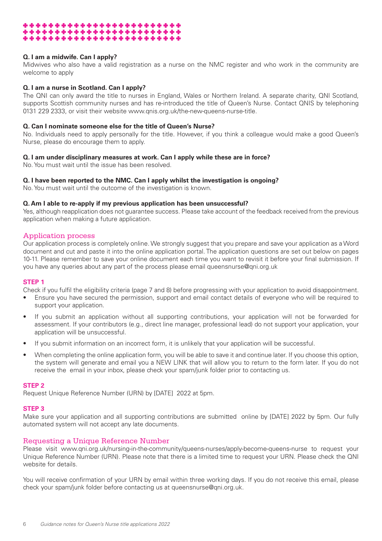

#### **Q. I am a midwife. Can I apply?**

Midwives who also have a valid registration as a nurse on the NMC register and who work in the community are welcome to apply

#### **Q. I am a nurse in Scotland. Can I apply?**

The QNI can only award the title to nurses in England, Wales or Northern Ireland. A separate charity, QNI Scotland, supports Scottish community nurses and has re-introduced the title of Queen's Nurse. Contact QNIS by telephoning 0131 229 2333, or visit their website www.qnis.org.uk/the-new-queens-nurse-title.

#### **Q. Can I nominate someone else for the title of Queen's Nurse?**

No. Individuals need to apply personally for the title. However, if you think a colleague would make a good Queen's Nurse, please do encourage them to apply.

#### **Q. I am under disciplinary measures at work. Can I apply while these are in force?**

No. You must wait until the issue has been resolved.

#### **Q. I have been reported to the NMC. Can I apply whilst the investigation is ongoing?**

No. You must wait until the outcome of the investigation is known.

#### **Q. Am I able to re-apply if my previous application has been unsuccessful?**

Yes, although reapplication does not guarantee success. Please take account of the feedback received from the previous application when making a future application.

#### Application process

Our application process is completely online. We strongly suggest that you prepare and save your application as a Word document and cut and paste it into the online application portal. The application questions are set out below on pages 10-11. Please remember to save your online document each time you want to revisit it before your final submission. If you have any queries about any part of the process please email queensnurse@qni.org.uk

#### **STEP 1**

Check if you fulfil the eligibility criteria (page 7 and 8) before progressing with your application to avoid disappointment.

- Ensure you have secured the permission, support and email contact details of everyone who will be required to support your application.
- If you submit an application without all supporting contributions, your application will not be forwarded for assessment. If your contributors (e.g., direct line manager, professional lead) do not support your application, your application will be unsuccessful.
- If you submit information on an incorrect form, it is unlikely that your application will be successful.
- When completing the online application form, you will be able to save it and continue later. If you choose this option, the system will generate and email you a NEW LINK that will allow you to return to the form later. If you do not receive the email in your inbox, please check your spam/junk folder prior to contacting us.

#### **STEP 2**

Request Unique Reference Number (URN) by [DATE] 2022 at 5pm.

#### **STEP 3**

Make sure your application and all supporting contributions are submitted online by [DATE] 2022 by 5pm. Our fully automated system will not accept any late documents.

#### Requesting a Unique Reference Number

Please visit www.qni.org.uk/nursing-in-the-community/queens-nurses/apply-become-queens-nurse to request your Unique Reference Number (URN). Please note that there is a limited time to request your URN. Please check the QNI website for details.

You will receive confirmation of your URN by email within three working days. If you do not receive this email, please check your spam/junk folder before contacting us at queensnurse@qni.org.uk.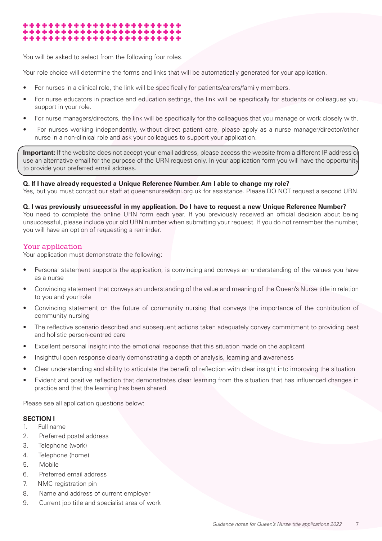### ...................... \*\*\*\*\*\*\*\*\*\*\*\*\*\*\*\*\*

You will be asked to select from the following four roles.

Your role choice will determine the forms and links that will be automatically generated for your application.

- For nurses in a clinical role, the link will be specifically for patients/carers/family members.
- For nurse educators in practice and education settings, the link will be specifically for students or colleagues you support in your role.
- For nurse managers/directors, the link will be specifically for the colleagues that you manage or work closely with.
- For nurses working independently, without direct patient care, please apply as a nurse manager/director/other nurse in a non-clinical role and ask your colleagues to support your application.

**Important:** If the website does not accept your email address, please access the website from a different IP address or use an alternative email for the purpose of the URN request only. In your application form you will have the opportunity to provide your preferred email address.

#### **Q. If I have already requested a Unique Reference Number. Am I able to change my role?**

Yes, but you must contact our staff at queensnurse@qni.org.uk for assistance. Please DO NOT request a second URN.

#### **Q. I was previously unsuccessful in my application. Do I have to request a new Unique Reference Number?**

You need to complete the online URN form each year. If you previously received an official decision about being unsuccessful, please include your old URN number when submitting your request. If you do not remember the number, you will have an option of requesting a reminder.

#### Your application

Your application must demonstrate the following:

- Personal statement supports the application, is convincing and conveys an understanding of the values you have as a nurse
- Convincing statement that conveys an understanding of the value and meaning of the Queen's Nurse title in relation to you and your role
- Convincing statement on the future of community nursing that conveys the importance of the contribution of community nursing
- The reflective scenario described and subsequent actions taken adequately convey commitment to providing best and holistic person-centred care
- Excellent personal insight into the emotional response that this situation made on the applicant
- Insightful open response clearly demonstrating a depth of analysis, learning and awareness
- Clear understanding and ability to articulate the benefit of reflection with clear insight into improving the situation
- Evident and positive reflection that demonstrates clear learning from the situation that has influenced changes in practice and that the learning has been shared.

Please see all application questions below:

#### **SECTION I**

- 1. Full name
- 2. Preferred postal address
- 3. Telephone (work)
- 4. Telephone (home)
- 5. Mobile
- 6. Preferred email address
- 7. NMC registration pin
- 8. Name and address of current employer
- 9. Current job title and specialist area of work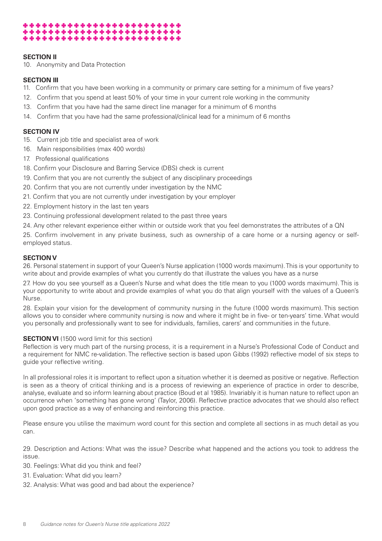

#### **SECTION II**

10. Anonymity and Data Protection

#### **SECTION III**

- 11. Confirm that you have been working in a community or primary care setting for a minimum of five years?
- 12. Confirm that you spend at least 50% of your time in your current role working in the community
- 13. Confirm that you have had the same direct line manager for a minimum of 6 months
- 14. Confirm that you have had the same professional/clinical lead for a minimum of 6 months

#### **SECTION IV**

- 15. Current job title and specialist area of work
- 16. Main responsibilities (max 400 words)
- 17. Professional qualifications
- 18. Confirm your Disclosure and Barring Service (DBS) check is current
- 19. Confirm that you are not currently the subject of any disciplinary proceedings
- 20. Confirm that you are not currently under investigation by the NMC
- 21. Confirm that you are not currently under investigation by your employer
- 22. Employment history in the last ten years
- 23. Continuing professional development related to the past three years
- 24. Any other relevant experience either within or outside work that you feel demonstrates the attributes of a QN

25. Confirm involvement in any private business, such as ownership of a care home or a nursing agency or selfemployed status.

#### **SECTION V**

26. Personal statement in support of your Queen's Nurse application (1000 words maximum). This is your opportunity to write about and provide examples of what you currently do that illustrate the values you have as a nurse

27. How do you see yourself as a Queen's Nurse and what does the title mean to you (1000 words maximum). This is your opportunity to write about and provide examples of what you do that align yourself with the values of a Queen's Nurse.

28. Explain your vision for the development of community nursing in the future (1000 words maximum). This section allows you to consider where community nursing is now and where it might be in five- or ten-years' time. What would you personally and professionally want to see for individuals, families, carers' and communities in the future.

#### **SECTION VI** (1500 word limit for this section)

Reflection is very much part of the nursing process, it is a requirement in a Nurse's Professional Code of Conduct and a requirement for NMC re-validation. The reflective section is based upon Gibbs (1992) reflective model of six steps to guide your reflective writing.

In all professional roles it is important to reflect upon a situation whether it is deemed as positive or negative. Reflection is seen as a theory of critical thinking and is a process of reviewing an experience of practice in order to describe, analyse, evaluate and so inform learning about practice (Boud et al 1985). Invariably it is human nature to reflect upon an occurrence when 'something has gone wrong' (Taylor, 2006). Reflective practice advocates that we should also reflect upon good practice as a way of enhancing and reinforcing this practice.

Please ensure you utilise the maximum word count for this section and complete all sections in as much detail as you can.

29. Description and Actions: What was the issue? Describe what happened and the actions you took to address the issue.

- 30. Feelings: What did you think and feel?
- 31. Evaluation: What did you learn?
- 32. Analysis: What was good and bad about the experience?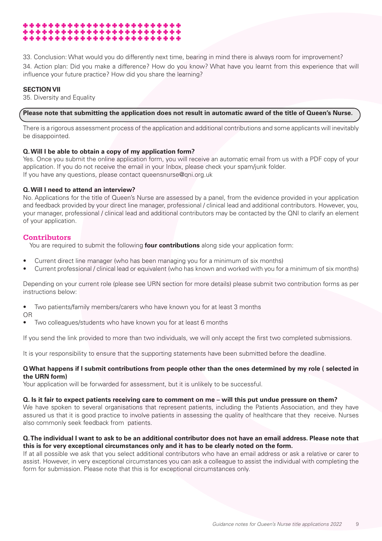

33. Conclusion: What would you do differently next time, bearing in mind there is always room for improvement? 34. Action plan: Did you make a difference? How do you know? What have you learnt from this experience that will influence your future practice? How did you share the learning?

#### **SECTION VII**

35. Diversity and Equality

#### **Please note that submitting the application does not result in automatic award of the title of Queen's Nurse.**

There is a rigorous assessment process of the application and additional contributions and some applicants will inevitably be disappointed.

#### **Q. Will I be able to obtain a copy of my application form?**

Yes. Once you submit the online application form, you will receive an automatic email from us with a PDF copy of your application. If you do not receive the email in your Inbox, please check your spam/junk folder. If you have any questions, please contact queensnurse@qni.org.uk

#### **Q. Will I need to attend an interview?**

No. Applications for the title of Queen's Nurse are assessed by a panel, from the evidence provided in your application and feedback provided by your direct line manager, professional / clinical lead and additional contributors. However, you, your manager, professional / clinical lead and additional contributors may be contacted by the QNI to clarify an element of your application.

#### **Contributors**

You are required to submit the following **four contributions** along side your application form:

- Current direct line manager (who has been managing you for a minimum of six months)
- Current professional / clinical lead or equivalent (who has known and worked with you for a minimum of six months)

Depending on your current role (please see URN section for more details) please submit two contribution forms as per instructions below:

Two patients/family members/carers who have known you for at least 3 months

OR

• Two colleagues/students who have known you for at least 6 months

If you send the link provided to more than two individuals, we will only accept the first two completed submissions.

It is your responsibility to ensure that the supporting statements have been submitted before the deadline.

#### **Q What happens if I submit contributions from people other than the ones determined by my role ( selected in the URN form)**

Your application will be forwarded for assessment, but it is unlikely to be successful.

#### **Q. Is it fair to expect patients receiving care to comment on me – will this put undue pressure on them?**

We have spoken to several organisations that represent patients, including the Patients Association, and they have assured us that it is good practice to involve patients in assessing the quality of healthcare that they receive. Nurses also commonly seek feedback from patients.

#### **Q. The individual I want to ask to be an additional contributor does not have an email address. Please note that this is for very exceptional circumstances only and it has to be clearly noted on the form.**

If at all possible we ask that you select additional contributors who have an email address or ask a relative or carer to assist. However, in very exceptional circumstances you can ask a colleague to assist the individual with completing the form for submission. Please note that this is for exceptional circumstances only.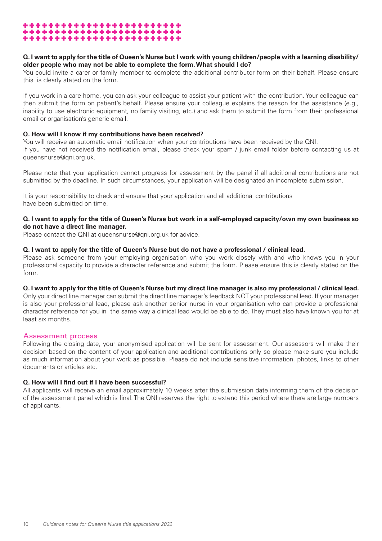

#### **Q. I want to apply for the title of Queen's Nurse but I work with young children/people with a learning disability/ older people who may not be able to complete the form. What should I do?**

You could invite a carer or family member to complete the additional contributor form on their behalf. Please ensure this is clearly stated on the form.

If you work in a care home, you can ask your colleague to assist your patient with the contribution. Your colleague can then submit the form on patient's behalf. Please ensure your colleague explains the reason for the assistance (e.g., inability to use electronic equipment, no family visiting, etc.) and ask them to submit the form from their professional email or organisation's generic email.

#### **Q. How will I know if my contributions have been received?**

You will receive an automatic email notification when your contributions have been received by the QNI. If you have not received the notification email, please check your spam / junk email folder before contacting us at queensnurse@qni.org.uk.

Please note that your application cannot progress for assessment by the panel if all additional contributions are not submitted by the deadline. In such circumstances, your application will be designated an incomplete submission.

It is your responsibility to check and ensure that your application and all additional contributions have been submitted on time.

#### **Q. I want to apply for the title of Queen's Nurse but work in a self-employed capacity/own my own business so do not have a direct line manager.**

Please contact the QNI at queensnurse@qni.org.uk for advice.

#### **Q. I want to apply for the title of Queen's Nurse but do not have a professional / clinical lead.**

Please ask someone from your employing organisation who you work closely with and who knows you in your professional capacity to provide a character reference and submit the form. Please ensure this is clearly stated on the form.

#### **Q. I want to apply for the title of Queen's Nurse but my direct line manager is also my professional / clinical lead.**

Only your direct line manager can submit the direct line manager's feedback NOT your professional lead. If your manager is also your professional lead, please ask another senior nurse in your organisation who can provide a professional character reference for you in the same way a clinical lead would be able to do. They must also have known you for at least six months.

#### Assessment process

Following the closing date, your anonymised application will be sent for assessment. Our assessors will make their decision based on the content of your application and additional contributions only so please make sure you include as much information about your work as possible. Please do not include sensitive information, photos, links to other documents or articles etc.

#### **Q. How will I find out if I have been successful?**

All applicants will receive an email approximately 10 weeks after the submission date informing them of the decision of the assessment panel which is final. The QNI reserves the right to extend this period where there are large numbers of applicants.